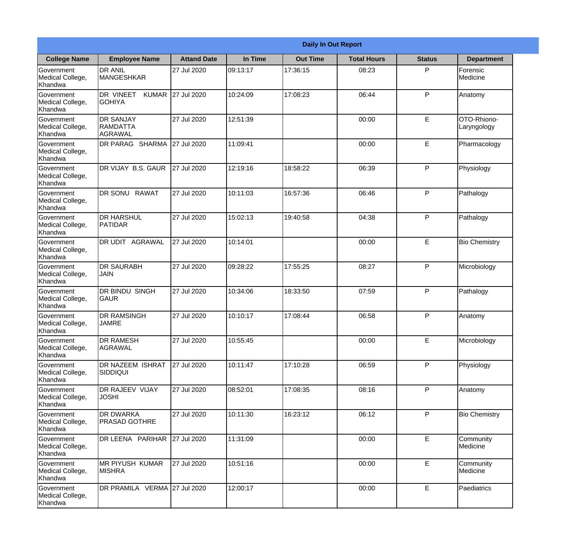|                                                  |                                                |                    |          | <b>Daily In Out Report</b> |                    |               |                            |
|--------------------------------------------------|------------------------------------------------|--------------------|----------|----------------------------|--------------------|---------------|----------------------------|
| <b>College Name</b>                              | <b>Employee Name</b>                           | <b>Attand Date</b> | In Time  | <b>Out Time</b>            | <b>Total Hours</b> | <b>Status</b> | <b>Department</b>          |
| Government<br>Medical College,<br>Khandwa        | <b>DR ANIL</b><br>MANGESHKAR                   | 27 Jul 2020        | 09:13:17 | 17:36:15                   | 08:23              | P             | Forensic<br>Medicine       |
| Government<br>Medical College,<br>Khandwa        | DR VINEET<br><b>KUMAR</b><br><b>GOHIYA</b>     | 27 Jul 2020        | 10:24:09 | 17:08:23                   | 06:44              | P             | Anatomy                    |
| <b>Government</b><br>Medical College,<br>Khandwa | <b>DR SANJAY</b><br><b>RAMDATTA</b><br>AGRAWAL | 27 Jul 2020        | 12:51:39 |                            | 00:00              | E             | OTO-Rhiono-<br>Laryngology |
| Government<br>Medical College,<br>Khandwa        | DR PARAG SHARMA                                | 27 Jul 2020        | 11:09:41 |                            | 00:00              | E             | Pharmacology               |
| Government<br>Medical College,<br>Khandwa        | DR VIJAY B.S. GAUR                             | 27 Jul 2020        | 12:19:16 | 18:58:22                   | 06:39              | P             | Physiology                 |
| Government<br>Medical College,<br>Khandwa        | <b>DR SONU RAWAT</b>                           | 27 Jul 2020        | 10:11:03 | 16:57:36                   | 06:46              | P             | Pathalogy                  |
| Government<br>Medical College,<br>Khandwa        | <b>I</b> DR HARSHUL<br><b>PATIDAR</b>          | 27 Jul 2020        | 15:02:13 | 19:40:58                   | 04:38              | P             | Pathalogy                  |
| Government<br>Medical College,<br>Khandwa        | DR UDIT AGRAWAL                                | 27 Jul 2020        | 10:14:01 |                            | 00:00              | E             | <b>Bio Chemistry</b>       |
| Government<br>Medical College,<br>Khandwa        | <b>DR SAURABH</b><br><b>JAIN</b>               | 27 Jul 2020        | 09:28:22 | 17:55:25                   | 08:27              | P             | Microbiology               |
| Government<br>Medical College,<br>Khandwa        | <b>DR BINDU SINGH</b><br> GAUR                 | 27 Jul 2020        | 10:34:06 | 18:33:50                   | 07:59              | P             | Pathalogy                  |
| Government<br>Medical College,<br>Khandwa        | <b>DR RAMSINGH</b><br><b>JAMRE</b>             | 27 Jul 2020        | 10:10:17 | 17:08:44                   | 06:58              | P             | Anatomy                    |
| Government<br>Medical College,<br>Khandwa        | <b>DR RAMESH</b><br>AGRAWAL                    | 27 Jul 2020        | 10:55:45 |                            | 00:00              | E             | Microbiology               |
| Government<br>Medical College,<br>Khandwa        | <b>DR NAZEEM ISHRAT</b><br>SIDDIQUI            | 27 Jul 2020        | 10:11:47 | 17:10:28                   | 06:59              | P             | Physiology                 |
| Government<br>Medical College,<br>Khandwa        | DR RAJEEV VIJAY<br><b>JOSHI</b>                | 27 Jul 2020        | 08:52:01 | 17:08:35                   | 08:16              | P             | Anatomy                    |
| Government<br>Medical College,<br>Khandwa        | <b>DR DWARKA</b><br><b>PRASAD GOTHRE</b>       | 27 Jul 2020        | 10:11:30 | 16:23:12                   | 06:12              | P             | <b>Bio Chemistry</b>       |
| Government<br>Medical College,<br>Khandwa        | DR LEENA PARIHAR                               | 27 Jul 2020        | 11:31:09 |                            | 00:00              | E             | Community<br>Medicine      |
| Government<br>Medical College,<br>Khandwa        | <b>MR PIYUSH KUMAR</b><br><b>MISHRA</b>        | 27 Jul 2020        | 10:51:16 |                            | 00:00              | E             | Community<br>Medicine      |
| Government<br>Medical College,<br>Khandwa        | DR PRAMILA VERMA 27 Jul 2020                   |                    | 12:00:17 |                            | 00:00              | E             | Paediatrics                |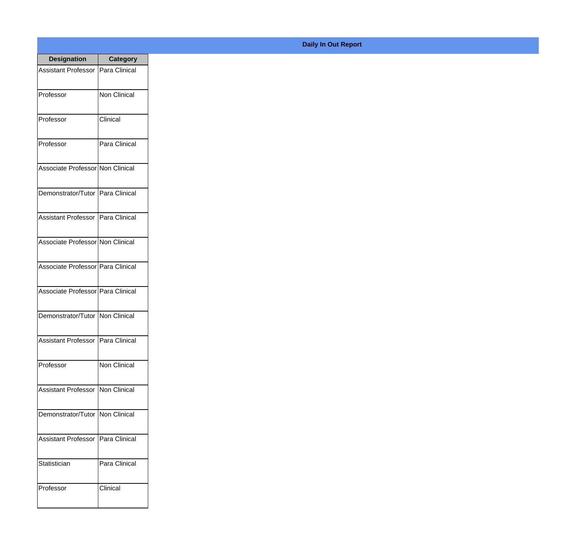| <b>Designation</b>                  | <b>Category</b>     |
|-------------------------------------|---------------------|
| <b>Assistant Professor</b>          | Para Clinical       |
| Professor                           | Non Clinical        |
| Professor                           | Clinical            |
| Professor                           | Para Clinical       |
| Associate Professor Non Clinical    |                     |
| Demonstrator/Tutor   Para Clinical  |                     |
| Assistant Professor   Para Clinical |                     |
| Associate Professor Non Clinical    |                     |
| Associate Professor Para Clinical   |                     |
| Associate Professor   Para Clinical |                     |
| Demonstrator/Tutor   Non Clinical   |                     |
| Assistant Professor   Para Clinical |                     |
| Professor                           | <b>Non Clinical</b> |
| Assistant Professor   Non Clinical  |                     |
| Demonstrator/Tutor                  | Non Clinical        |
| <b>Assistant Professor</b>          | Para Clinical       |
| Statistician                        | Para Clinical       |
| Professor                           | Clinical            |

## **Daily In Out Report**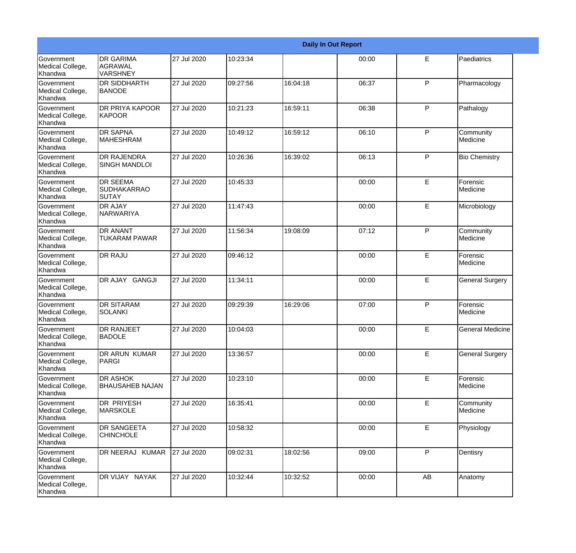|                                                  |                                                 |             |          |          | <b>Daily In Out Report</b> |              |                        |
|--------------------------------------------------|-------------------------------------------------|-------------|----------|----------|----------------------------|--------------|------------------------|
| Government<br>Medical College,<br>Khandwa        | <b>DR GARIMA</b><br>AGRAWAL<br>VARSHNEY         | 27 Jul 2020 | 10:23:34 |          | 00:00                      | E            | Paediatrics            |
| Government<br>Medical College,<br>Khandwa        | <b>DR SIDDHARTH</b><br><b>BANODE</b>            | 27 Jul 2020 | 09:27:56 | 16:04:18 | 06:37                      | $\mathsf{P}$ | Pharmacology           |
| <b>Government</b><br>Medical College,<br>Khandwa | <b>DR PRIYA KAPOOR</b><br><b>KAPOOR</b>         | 27 Jul 2020 | 10:21:23 | 16:59:11 | 06:38                      | P            | Pathalogy              |
| <b>Government</b><br>Medical College,<br>Khandwa | <b>DR SAPNA</b><br><b>MAHESHRAM</b>             | 27 Jul 2020 | 10:49:12 | 16:59:12 | 06:10                      | $\mathsf{P}$ | Community<br>Medicine  |
| Government<br>Medical College,<br>Khandwa        | <b>DR RAJENDRA</b><br><b>SINGH MANDLOI</b>      | 27 Jul 2020 | 10:26:36 | 16:39:02 | 06:13                      | P            | <b>Bio Chemistry</b>   |
| Government<br>Medical College,<br>Khandwa        | <b>DR SEEMA</b><br><b>SUDHAKARRAO</b><br>ISUTAY | 27 Jul 2020 | 10:45:33 |          | 00:00                      | E            | Forensic<br>Medicine   |
| Government<br>Medical College,<br>Khandwa        | <b>DR AJAY</b><br>NARWARIYA                     | 27 Jul 2020 | 11:47:43 |          | 00:00                      | E            | Microbiology           |
| Government<br>Medical College,<br>Khandwa        | DR ANANT<br><b>TUKARAM PAWAR</b>                | 27 Jul 2020 | 11:56:34 | 19:08:09 | 07:12                      | $\mathsf{P}$ | Community<br>Medicine  |
| Government<br>Medical College,<br>Khandwa        | <b>DR RAJU</b>                                  | 27 Jul 2020 | 09:46:12 |          | 00:00                      | E            | Forensic<br>Medicine   |
| Government<br>Medical College,<br>Khandwa        | DR AJAY GANGJI                                  | 27 Jul 2020 | 11:34:11 |          | 00:00                      | E            | <b>General Surgery</b> |
| Government<br>Medical College,<br>Khandwa        | <b>DR SITARAM</b><br><b>SOLANKI</b>             | 27 Jul 2020 | 09:29:39 | 16:29:06 | 07:00                      | P            | Forensic<br>Medicine   |
| Government<br>Medical College,<br>Khandwa        | <b>DR RANJEET</b><br>BADOLE                     | 27 Jul 2020 | 10:04:03 |          | 00:00                      | E            | General Medicine       |
| Government<br>Medical College,<br>Khandwa        | DR ARUN KUMAR<br>PARGI                          | 27 Jul 2020 | 13:36:57 |          | 00:00                      | E            | <b>General Surgery</b> |
| Government<br>Medical College,<br>Khandwa        | DR ASHOK<br><b>BHAUSAHEB NAJAN</b>              | 27 Jul 2020 | 10:23:10 |          | 00:00                      | E            | Forensic<br>Medicine   |
| Government<br>Medical College,<br>Khandwa        | <b>DR PRIYESH</b><br><b>MARSKOLE</b>            | 27 Jul 2020 | 16:35:41 |          | 00:00                      | E            | Community<br>Medicine  |
| Government<br>Medical College,<br>Khandwa        | DR SANGEETA<br><b>CHINCHOLE</b>                 | 27 Jul 2020 | 10:58:32 |          | 00:00                      | E            | Physiology             |
| Government<br>Medical College,<br>Khandwa        | DR NEERAJ KUMAR                                 | 27 Jul 2020 | 09:02:31 | 18:02:56 | 09:00                      | P            | Dentisry               |
| Government<br>Medical College,<br>Khandwa        | DR VIJAY NAYAK                                  | 27 Jul 2020 | 10:32:44 | 10:32:52 | 00:00                      | AB           | Anatomy                |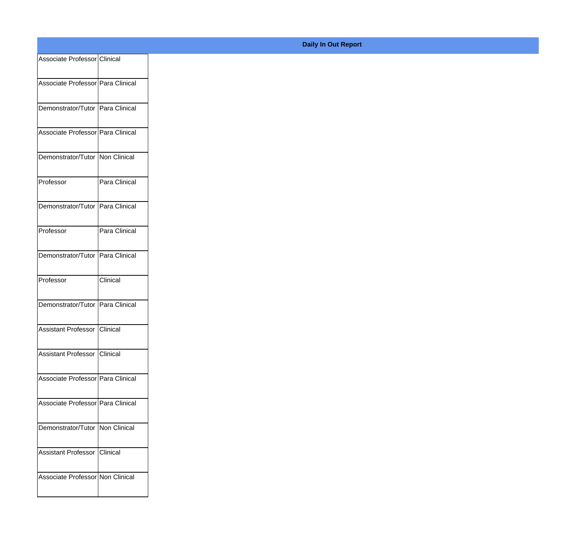| Associate Professor Clinical        |               |
|-------------------------------------|---------------|
| Associate Professor   Para Clinical |               |
| Demonstrator/Tutor   Para Clinical  |               |
| Associate Professor Para Clinical   |               |
| Demonstrator/Tutor   Non Clinical   |               |
| Professor                           | Para Clinical |
| Demonstrator/Tutor   Para Clinical  |               |
| Professor                           | Para Clinical |
| Demonstrator/Tutor   Para Clinical  |               |
| Professor                           | Clinical      |
| Demonstrator/Tutor Para Clinical    |               |
| Assistant Professor Clinical        |               |
| Assistant Professor Clinical        |               |
| Associate Professor Para Clinical   |               |
| Associate Professor   Para Clinical |               |
| Demonstrator/Tutor   Non Clinical   |               |
| Assistant Professor Clinical        |               |
| Associate Professor Non Clinical    |               |

## **Daily In Out Report**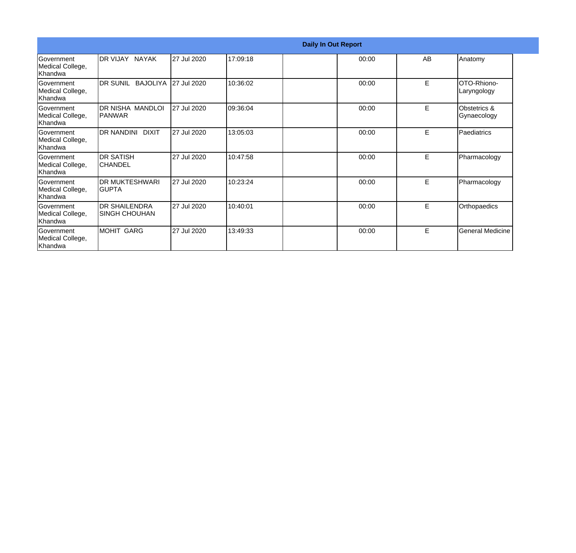|                                                  |                                               |             |          | <b>Daily In Out Report</b> |    |                             |
|--------------------------------------------------|-----------------------------------------------|-------------|----------|----------------------------|----|-----------------------------|
| Government<br>Medical College,<br>Khandwa        | <b>DR VIJAY NAYAK</b>                         | 27 Jul 2020 | 17:09:18 | 00:00                      | AB | Anatomy                     |
| Government<br>Medical College,<br>Khandwa        | DR SUNIL BAJOLIYA                             | 27 Jul 2020 | 10:36:02 | 00:00                      | E  | OTO-Rhiono-<br>Laryngology  |
| Government<br>Medical College,<br>Khandwa        | DR NISHA MANDLOI<br>IPANWAR                   | 27 Jul 2020 | 09:36:04 | 00:00                      | E  | Obstetrics &<br>Gynaecology |
| <b>Sovernment</b><br>Medical College,<br>Khandwa | <b>DR NANDINI DIXIT</b>                       | 27 Jul 2020 | 13:05:03 | 00:00                      | E  | Paediatrics                 |
| Government<br>Medical College,<br>Khandwa        | <b>DR SATISH</b><br>ICHANDEL                  | 27 Jul 2020 | 10:47:58 | 00:00                      | E  | Pharmacology                |
| Government<br>Medical College,<br>Khandwa        | <b>DR MUKTESHWARI</b><br>IGUPTA               | 27 Jul 2020 | 10:23:24 | 00:00                      | E  | Pharmacology                |
| <b>Sovernment</b><br>Medical College,<br>Khandwa | <b>DR SHAILENDRA</b><br><b>ISINGH CHOUHAN</b> | 27 Jul 2020 | 10:40:01 | 00:00                      | E  | Orthopaedics                |
| Government<br>Medical College,<br>Khandwa        | MOHIT GARG                                    | 27 Jul 2020 | 13:49:33 | 00:00                      | E  | General Medicine            |